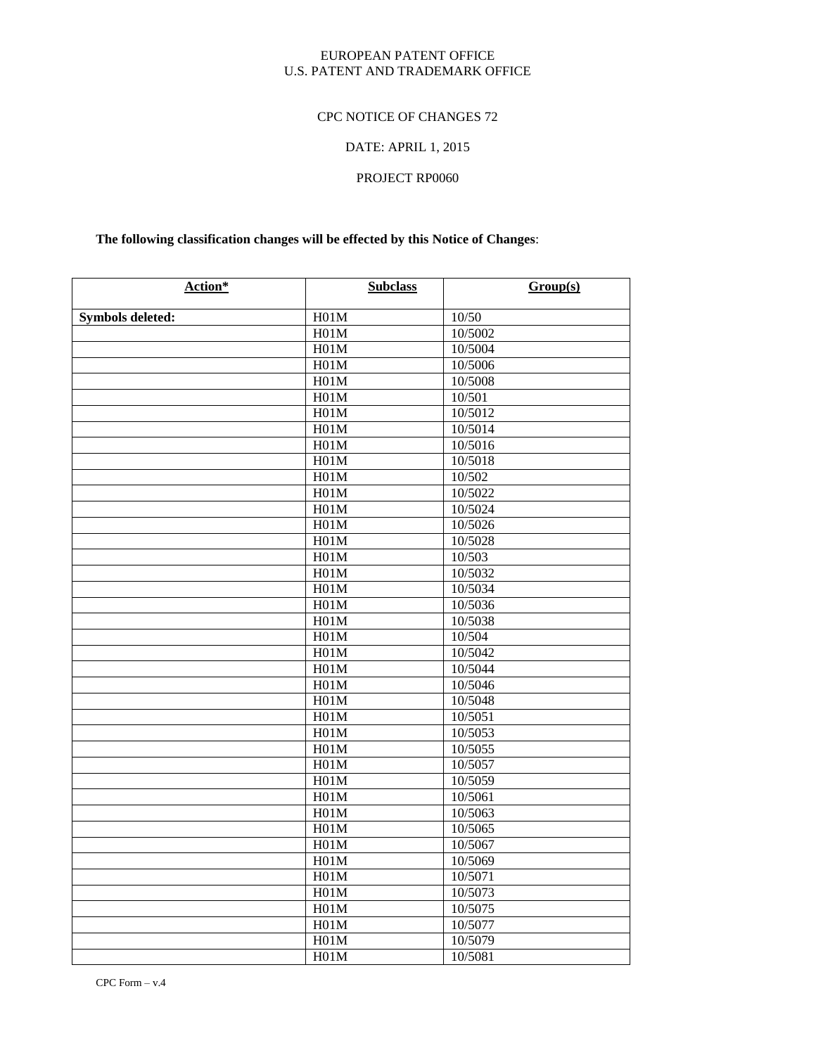## EUROPEAN PATENT OFFICE U.S. PATENT AND TRADEMARK OFFICE

# CPC NOTICE OF CHANGES 72

# DATE: APRIL 1, 2015

# PROJECT RP0060

# **The following classification changes will be effected by this Notice of Changes**:

| Action*                 | <b>Subclass</b> | Group(s) |
|-------------------------|-----------------|----------|
|                         | H01M            | 10/50    |
| <b>Symbols deleted:</b> | H01M            | 10/5002  |
|                         | H01M            | 10/5004  |
|                         | H01M            | 10/5006  |
|                         | H01M            | 10/5008  |
|                         | H01M            | 10/501   |
|                         | H01M            | 10/5012  |
|                         | H01M            | 10/5014  |
|                         | H01M            | 10/5016  |
|                         | H01M            | 10/5018  |
|                         | H01M            | 10/502   |
|                         | H01M            | 10/5022  |
|                         | H01M            | 10/5024  |
|                         | H01M            | 10/5026  |
|                         | H01M            | 10/5028  |
|                         | H01M            | 10/503   |
|                         | H01M            | 10/5032  |
|                         | H01M            | 10/5034  |
|                         | H01M            | 10/5036  |
|                         | H01M            | 10/5038  |
|                         | H01M            | 10/504   |
|                         | H01M            | 10/5042  |
|                         | H01M            | 10/5044  |
|                         | H01M            | 10/5046  |
|                         | H01M            | 10/5048  |
|                         | H01M            | 10/5051  |
|                         | H01M            | 10/5053  |
|                         | H01M            | 10/5055  |
|                         | H01M            | 10/5057  |
|                         | H01M            | 10/5059  |
|                         | H01M            | 10/5061  |
|                         | H01M            | 10/5063  |
|                         | H01M            | 10/5065  |
|                         | H01M            | 10/5067  |
|                         | H01M            | 10/5069  |
|                         | H01M            | 10/5071  |
|                         | H01M            | 10/5073  |
|                         | H01M            | 10/5075  |
|                         | H01M            | 10/5077  |
|                         | H01M            | 10/5079  |
|                         | H01M            | 10/5081  |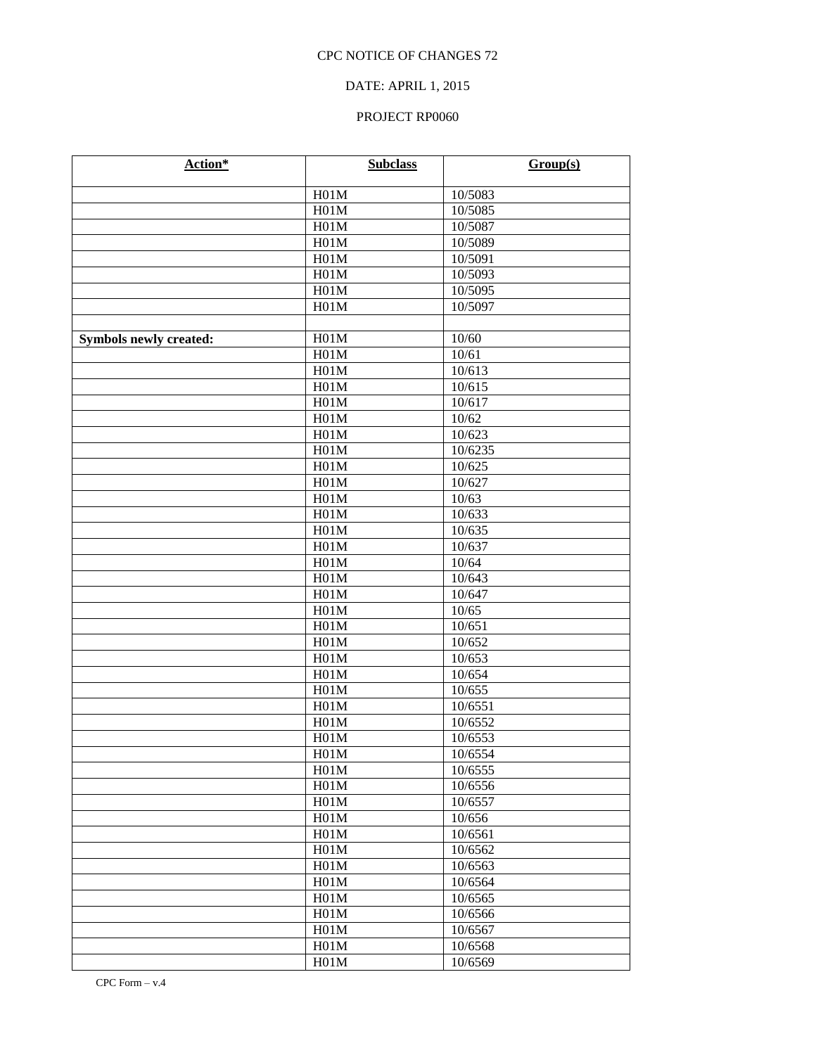# DATE: APRIL 1, 2015

| Action*                       | <b>Subclass</b> | Group(s) |
|-------------------------------|-----------------|----------|
|                               | H01M            | 10/5083  |
|                               | H01M            | 10/5085  |
|                               | H01M            | 10/5087  |
|                               | H01M            | 10/5089  |
|                               | H01M            | 10/5091  |
|                               | H01M            | 10/5093  |
|                               | H01M            | 10/5095  |
|                               | H01M            | 10/5097  |
|                               |                 |          |
| <b>Symbols newly created:</b> | H01M            | 10/60    |
|                               | H01M            | 10/61    |
|                               | H01M            | 10/613   |
|                               | H01M            | 10/615   |
|                               | H01M            | 10/617   |
|                               | H01M            | 10/62    |
|                               | H01M            | 10/623   |
|                               | H01M            | 10/6235  |
|                               | H01M            | 10/625   |
|                               | H01M            | 10/627   |
|                               | H01M            | 10/63    |
|                               | H01M            | 10/633   |
|                               | H01M            | 10/635   |
|                               | H01M            | 10/637   |
|                               | H01M            | 10/64    |
|                               | H01M            | 10/643   |
|                               | H01M            | 10/647   |
|                               | H01M            | 10/65    |
|                               | H01M            | 10/651   |
|                               | H01M            | 10/652   |
|                               | H01M            | 10/653   |
|                               | H01M            | 10/654   |
|                               | H01M            | 10/655   |
|                               | H01M            | 10/6551  |
|                               | H01M            | 10/6552  |
|                               | H01M            | 10/6553  |
|                               | H01M            | 10/6554  |
|                               | H01M            | 10/6555  |
|                               | H01M            | 10/6556  |
|                               | H01M            | 10/6557  |
|                               | H01M            | 10/656   |
|                               | H01M            | 10/6561  |
|                               | H01M            | 10/6562  |
|                               | H01M            | 10/6563  |
|                               | H01M            | 10/6564  |
|                               | H01M            | 10/6565  |
|                               | H01M            | 10/6566  |
|                               | H01M            | 10/6567  |
|                               | H01M            | 10/6568  |
|                               | H01M            | 10/6569  |
|                               |                 |          |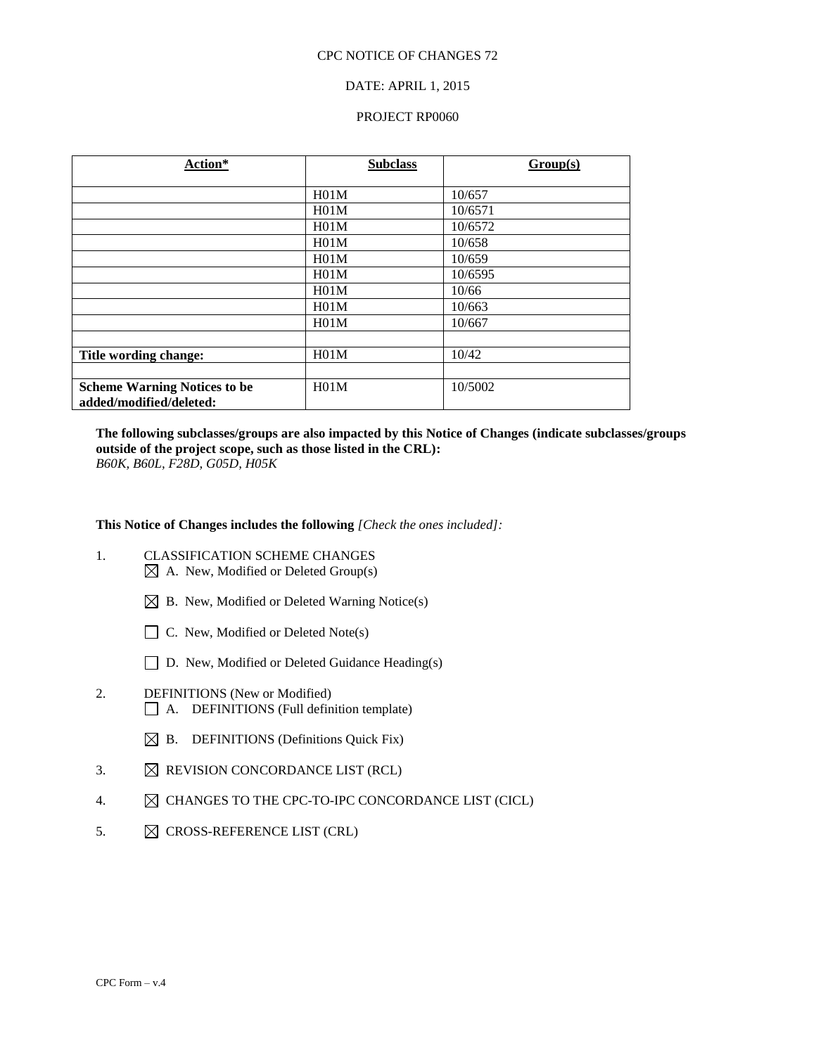#### DATE: APRIL 1, 2015

#### PROJECT RP0060

| Action*                             | <b>Subclass</b> | Group(s) |
|-------------------------------------|-----------------|----------|
|                                     |                 |          |
|                                     | H01M            | 10/657   |
|                                     | H01M            | 10/6571  |
|                                     | H01M            | 10/6572  |
|                                     | H01M            | 10/658   |
|                                     | H01M            | 10/659   |
|                                     | H01M            | 10/6595  |
|                                     | H01M            | 10/66    |
|                                     | H01M            | 10/663   |
|                                     | H01M            | 10/667   |
|                                     |                 |          |
| Title wording change:               | H01M            | 10/42    |
|                                     |                 |          |
| <b>Scheme Warning Notices to be</b> | H01M            | 10/5002  |
| added/modified/deleted:             |                 |          |

**The following subclasses/groups are also impacted by this Notice of Changes (indicate subclasses/groups outside of the project scope, such as those listed in the CRL):**  *B60K, B60L, F28D, G05D, H05K*

**This Notice of Changes includes the following** *[Check the ones included]:*

- 1. CLASSIFICATION SCHEME CHANGES  $\boxtimes$  A. New, Modified or Deleted Group(s)
	- $\boxtimes$  B. New, Modified or Deleted Warning Notice(s)
	- $\Box$  C. New, Modified or Deleted Note(s)
	- □ D. New, Modified or Deleted Guidance Heading(s)
- 2. DEFINITIONS (New or Modified) A. DEFINITIONS (Full definition template)
	- $\boxtimes$  B. DEFINITIONS (Definitions Quick Fix)
- 3.  $\boxtimes$  REVISION CONCORDANCE LIST (RCL)
- 4.  $\boxtimes$  CHANGES TO THE CPC-TO-IPC CONCORDANCE LIST (CICL)
- 5.  $\boxtimes$  CROSS-REFERENCE LIST (CRL)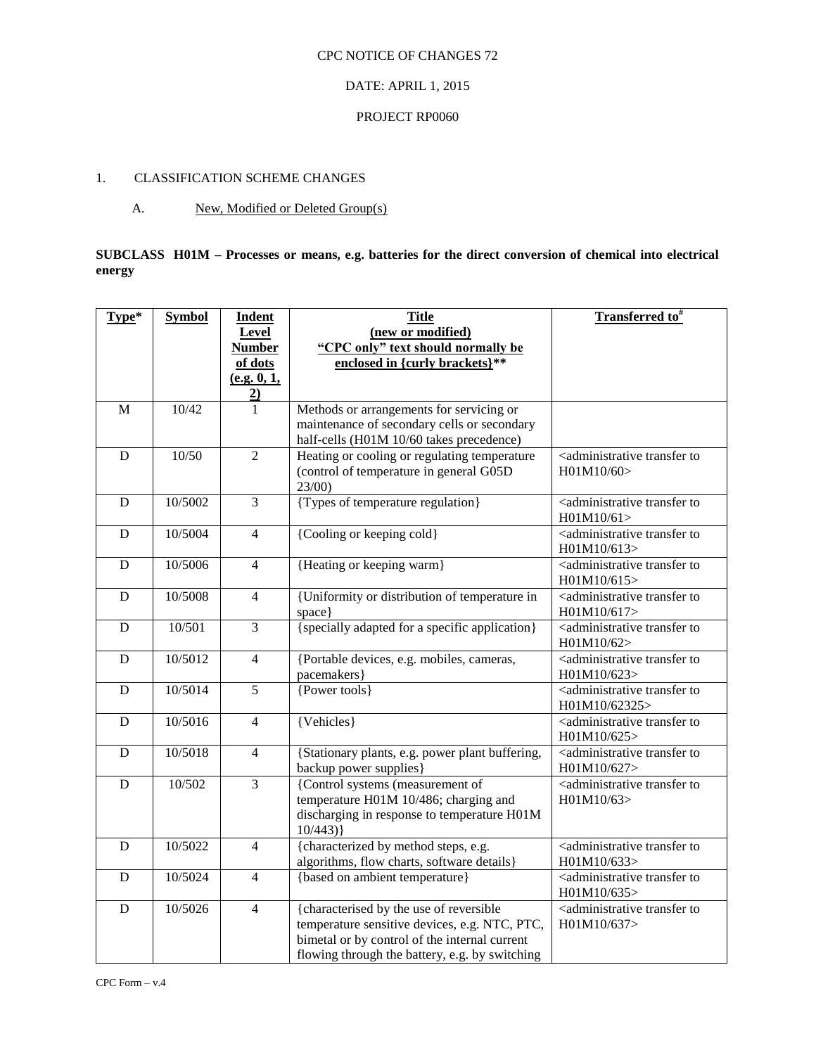# DATE: APRIL 1, 2015

#### PROJECT RP0060

# 1. CLASSIFICATION SCHEME CHANGES

# A. New, Modified or Deleted Group(s)

# **SUBCLASS H01M – Processes or means, e.g. batteries for the direct conversion of chemical into electrical energy**

| Type*          | <b>Symbol</b> | <b>Indent</b>  | <b>Title</b>                                    | <b>Transferred to</b> #                                    |
|----------------|---------------|----------------|-------------------------------------------------|------------------------------------------------------------|
|                |               | <b>Level</b>   | (new or modified)                               |                                                            |
|                |               | <b>Number</b>  | "CPC only" text should normally be              |                                                            |
|                |               | of dots        | enclosed in {curly brackets}**                  |                                                            |
|                |               | (e.g. 0, 1,    |                                                 |                                                            |
|                |               | $\overline{2}$ |                                                 |                                                            |
| $\mathbf{M}$   | 10/42         | 1              | Methods or arrangements for servicing or        |                                                            |
|                |               |                | maintenance of secondary cells or secondary     |                                                            |
|                |               |                | half-cells (H01M 10/60 takes precedence)        |                                                            |
| $\overline{D}$ | 10/50         | $\overline{2}$ | Heating or cooling or regulating temperature    | <administrative td="" to<="" transfer=""></administrative> |
|                |               |                | (control of temperature in general G05D         | H01M10/60>                                                 |
|                |               |                | 23/00                                           |                                                            |
| D              | 10/5002       | $\overline{3}$ | {Types of temperature regulation}               | <administrative td="" to<="" transfer=""></administrative> |
|                |               |                |                                                 | H01M10/61>                                                 |
| $\mathbf D$    | 10/5004       | $\overline{4}$ | {Cooling or keeping cold}                       | <administrative td="" to<="" transfer=""></administrative> |
|                |               |                |                                                 | H01M10/613>                                                |
| $\mathbf D$    | 10/5006       | $\overline{4}$ | {Heating or keeping warm}                       | <administrative td="" to<="" transfer=""></administrative> |
|                |               |                |                                                 | H01M10/615>                                                |
| $\mathbf D$    | 10/5008       | $\overline{4}$ | {Uniformity or distribution of temperature in   | <administrative td="" to<="" transfer=""></administrative> |
|                |               |                | space}                                          | H01M10/617>                                                |
| D              | 10/501        | $\overline{3}$ | {specially adapted for a specific application}  | <administrative td="" to<="" transfer=""></administrative> |
|                |               |                |                                                 | H01M10/62>                                                 |
| $\mathbf D$    | 10/5012       | $\overline{4}$ | {Portable devices, e.g. mobiles, cameras,       | <administrative td="" to<="" transfer=""></administrative> |
|                |               |                | pacemakers}                                     | H01M10/623>                                                |
| D              | 10/5014       | $\overline{5}$ | {Power tools}                                   | <administrative td="" to<="" transfer=""></administrative> |
|                |               |                |                                                 | H01M10/62325>                                              |
| D              | 10/5016       | $\overline{4}$ | ${V_{\text{ehicles}}\}$                         | <administrative td="" to<="" transfer=""></administrative> |
|                |               |                |                                                 | H01M10/625>                                                |
| $\mathbf D$    | 10/5018       | $\overline{4}$ | {Stationary plants, e.g. power plant buffering, | <administrative td="" to<="" transfer=""></administrative> |
|                |               |                | backup power supplies}                          | H01M10/627>                                                |
| ${\bf D}$      | 10/502        | $\overline{3}$ | {Control systems (measurement of                | <administrative td="" to<="" transfer=""></administrative> |
|                |               |                | temperature H01M 10/486; charging and           | H01M10/63                                                  |
|                |               |                | discharging in response to temperature H01M     |                                                            |
|                |               |                | 10/443)                                         |                                                            |
| $\mathbf D$    | 10/5022       | $\overline{4}$ | {characterized by method steps, e.g.            | <administrative td="" to<="" transfer=""></administrative> |
|                |               |                | algorithms, flow charts, software details}      | H01M10/633>                                                |
| $\mathbf D$    | 10/5024       | $\overline{4}$ | {based on ambient temperature}                  | <administrative td="" to<="" transfer=""></administrative> |
|                |               |                |                                                 | H01M10/635>                                                |
| $\mathbf D$    | 10/5026       | $\overline{4}$ | {characterised by the use of reversible         | <administrative td="" to<="" transfer=""></administrative> |
|                |               |                | temperature sensitive devices, e.g. NTC, PTC,   | H01M10/637>                                                |
|                |               |                | bimetal or by control of the internal current   |                                                            |
|                |               |                | flowing through the battery, e.g. by switching  |                                                            |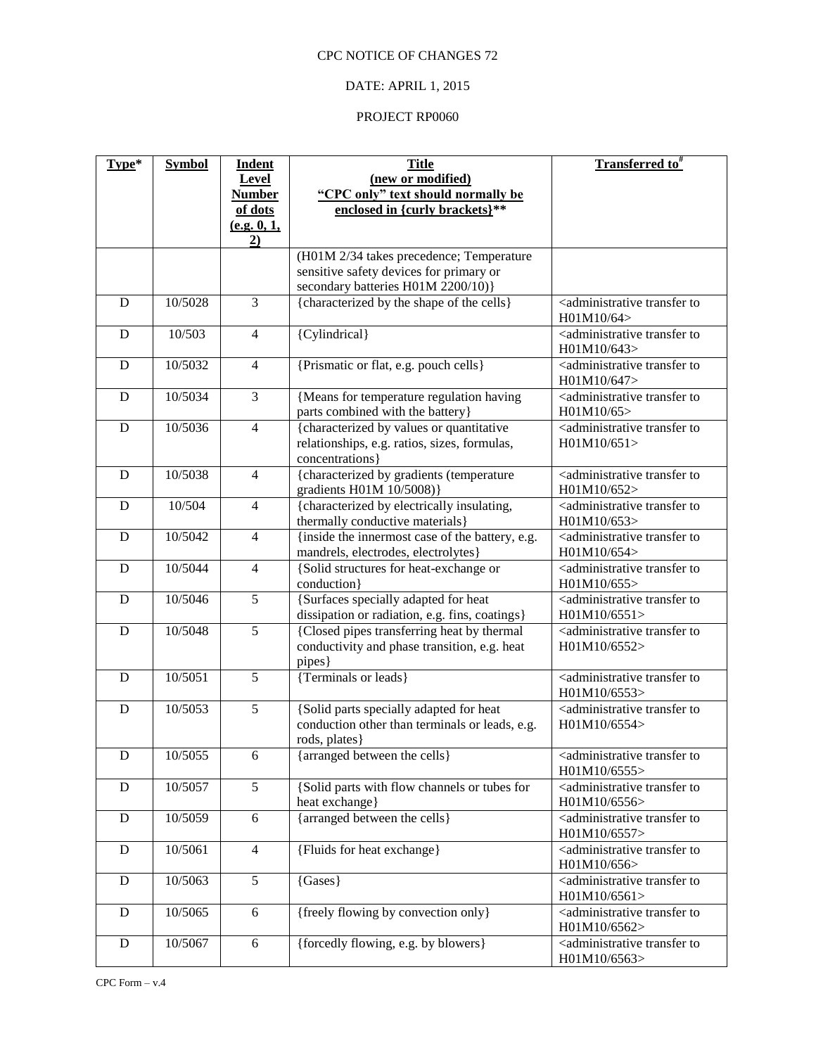# DATE: APRIL 1, 2015

| Type*       | <b>Symbol</b> | <b>Indent</b>  | <b>Title</b>                                                                                                | <b>Transferred to</b> #                                               |
|-------------|---------------|----------------|-------------------------------------------------------------------------------------------------------------|-----------------------------------------------------------------------|
|             |               | <b>Level</b>   | (new or modified)                                                                                           |                                                                       |
|             |               | <b>Number</b>  | "CPC only" text should normally be                                                                          |                                                                       |
|             |               | of dots        | enclosed in {curly brackets}**                                                                              |                                                                       |
|             |               | (e.g. 0, 1,    |                                                                                                             |                                                                       |
|             |               | 2)             |                                                                                                             |                                                                       |
|             |               |                | (H01M 2/34 takes precedence; Temperature                                                                    |                                                                       |
|             |               |                | sensitive safety devices for primary or                                                                     |                                                                       |
|             |               | $\overline{3}$ | secondary batteries H01M 2200/10)}                                                                          |                                                                       |
| D           | 10/5028       |                | {characterized by the shape of the cells}                                                                   | <administrative to<br="" transfer="">H01M10/64&gt;</administrative>   |
| D           | 10/503        | $\overline{4}$ | {Cylindrical}                                                                                               | <administrative to<br="" transfer="">H01M10/643&gt;</administrative>  |
| D           | 10/5032       | $\overline{4}$ | {Prismatic or flat, e.g. pouch cells}                                                                       | <administrative to<br="" transfer="">H01M10/647&gt;</administrative>  |
| ${\bf D}$   | 10/5034       | 3              | {Means for temperature regulation having<br>parts combined with the battery}                                | <administrative to<br="" transfer="">H01M10/65&gt;</administrative>   |
| $\mathbf D$ | 10/5036       | $\overline{4}$ | {characterized by values or quantitative<br>relationships, e.g. ratios, sizes, formulas,<br>concentrations} | <administrative to<br="" transfer="">H01M10/651&gt;</administrative>  |
| ${\bf D}$   | 10/5038       | $\overline{4}$ | {characterized by gradients (temperature<br>gradients H01M 10/5008)}                                        | <administrative to<br="" transfer="">H01M10/652&gt;</administrative>  |
| D           | 10/504        | $\overline{4}$ | {characterized by electrically insulating,<br>thermally conductive materials}                               | <administrative to<br="" transfer="">H01M10/653&gt;</administrative>  |
| D           | 10/5042       | $\overline{4}$ | {inside the innermost case of the battery, e.g.                                                             | <administrative td="" to<="" transfer=""></administrative>            |
|             |               |                | mandrels, electrodes, electrolytes}                                                                         | H01M10/654>                                                           |
| $\mathbf D$ | 10/5044       | $\overline{4}$ | {Solid structures for heat-exchange or<br>conduction}                                                       | <administrative to<br="" transfer="">H01M10/655&gt;</administrative>  |
| D           | 10/5046       | $\overline{5}$ | {Surfaces specially adapted for heat<br>dissipation or radiation, e.g. fins, coatings}                      | <administrative to<br="" transfer="">H01M10/6551&gt;</administrative> |
| D           | 10/5048       | $\overline{5}$ | {Closed pipes transferring heat by thermal<br>conductivity and phase transition, e.g. heat<br>pipes}        | <administrative to<br="" transfer="">H01M10/6552&gt;</administrative> |
| D           | 10/5051       | $\overline{5}$ | {Terminals or leads}                                                                                        | <administrative to<br="" transfer="">H01M10/6553&gt;</administrative> |
| D           | 10/5053       | 5              | {Solid parts specially adapted for heat<br>conduction other than terminals or leads, e.g.<br>rods, plates}  | <administrative to<br="" transfer="">H01M10/6554&gt;</administrative> |
| ${\bf D}$   | 10/5055       | 6              | {arranged between the cells}                                                                                | <administrative to<br="" transfer="">H01M10/6555&gt;</administrative> |
| D           | 10/5057       | 5              | {Solid parts with flow channels or tubes for<br>heat exchange}                                              | <administrative to<br="" transfer="">H01M10/6556&gt;</administrative> |
| ${\bf D}$   | 10/5059       | 6              | {arranged between the cells}                                                                                | <administrative to<br="" transfer="">H01M10/6557&gt;</administrative> |
| D           | 10/5061       | $\overline{4}$ | {Fluids for heat exchange}                                                                                  | <administrative to<br="" transfer="">H01M10/656&gt;</administrative>  |
| D           | 10/5063       | 5              | {Gases}                                                                                                     | <administrative to<br="" transfer="">H01M10/6561&gt;</administrative> |
| ${\bf D}$   | 10/5065       | 6              | {freely flowing by convection only}                                                                         | <administrative to<br="" transfer="">H01M10/6562&gt;</administrative> |
| ${\bf D}$   | 10/5067       | 6              | {forcedly flowing, e.g. by blowers}                                                                         | <administrative to<br="" transfer="">H01M10/6563&gt;</administrative> |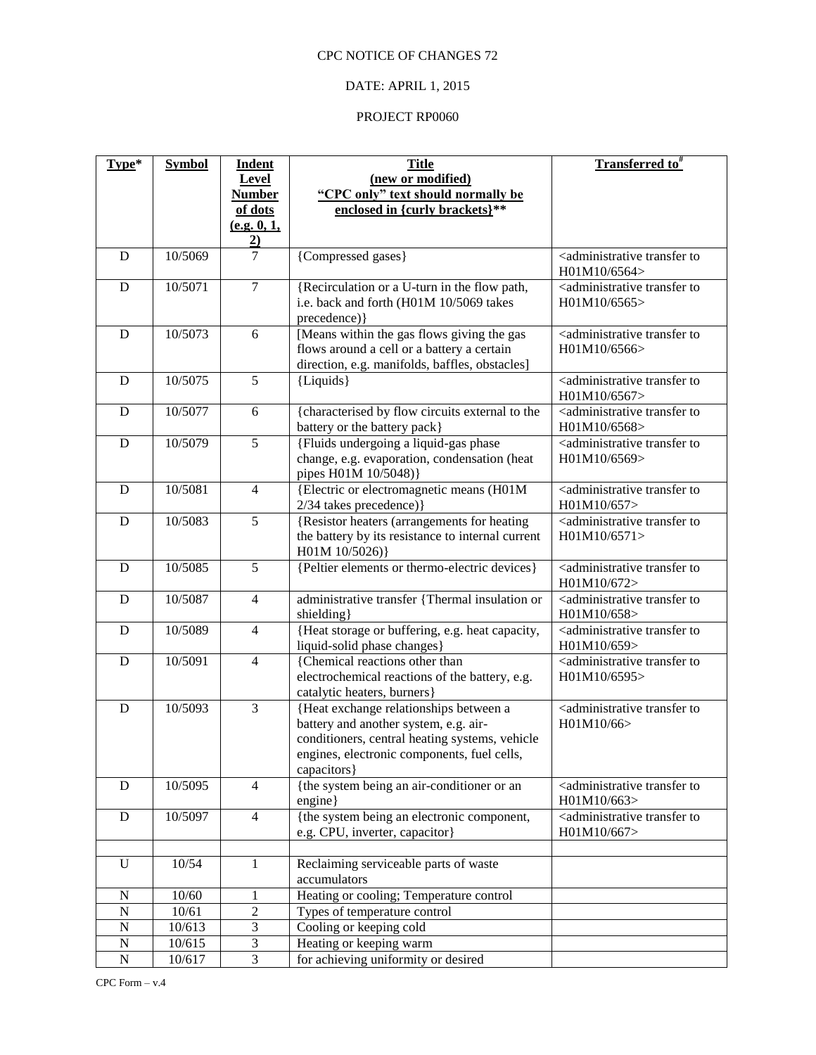# DATE: APRIL 1, 2015

| Type*          | <b>Symbol</b> | <b>Indent</b><br>Level<br><b>Number</b>  | <b>Title</b><br>(new or modified)<br>"CPC only" text should normally be                                                                                                                         | Transferred to <sup>#</sup>                                           |
|----------------|---------------|------------------------------------------|-------------------------------------------------------------------------------------------------------------------------------------------------------------------------------------------------|-----------------------------------------------------------------------|
|                |               | of dots<br>(e.g. 0, 1,<br>$\overline{2}$ | enclosed in {curly brackets}**                                                                                                                                                                  |                                                                       |
| D              | 10/5069       | $\overline{7}$                           | {Compressed gases}                                                                                                                                                                              | <administrative to<br="" transfer="">H01M10/6564&gt;</administrative> |
| D              | 10/5071       | $\overline{7}$                           | {Recirculation or a U-turn in the flow path,<br>i.e. back and forth (H01M 10/5069 takes<br>precedence) }                                                                                        | <administrative to<br="" transfer="">H01M10/6565&gt;</administrative> |
| D              | 10/5073       | 6                                        | [Means within the gas flows giving the gas<br>flows around a cell or a battery a certain<br>direction, e.g. manifolds, baffles, obstacles]                                                      | <administrative to<br="" transfer="">H01M10/6566&gt;</administrative> |
| D              | 10/5075       | 5                                        | {Liquids}                                                                                                                                                                                       | <administrative to<br="" transfer="">H01M10/6567&gt;</administrative> |
| D              | 10/5077       | 6                                        | {characterised by flow circuits external to the<br>battery or the battery pack}                                                                                                                 | <administrative to<br="" transfer="">H01M10/6568&gt;</administrative> |
| D              | 10/5079       | $\overline{5}$                           | {Fluids undergoing a liquid-gas phase<br>change, e.g. evaporation, condensation (heat<br>pipes H01M 10/5048)}                                                                                   | <administrative to<br="" transfer="">H01M10/6569&gt;</administrative> |
| D              | 10/5081       | $\overline{4}$                           | {Electric or electromagnetic means (H01M<br>2/34 takes precedence)}                                                                                                                             | <administrative to<br="" transfer="">H01M10/657&gt;</administrative>  |
| D              | 10/5083       | 5                                        | {Resistor heaters (arrangements for heating<br>the battery by its resistance to internal current<br>H01M 10/5026)}                                                                              | <administrative to<br="" transfer="">H01M10/6571&gt;</administrative> |
| D              | 10/5085       | $\overline{5}$                           | {Peltier elements or thermo-electric devices}                                                                                                                                                   | <administrative to<br="" transfer="">H01M10/672&gt;</administrative>  |
| D              | 10/5087       | $\overline{4}$                           | administrative transfer {Thermal insulation or<br>shielding}                                                                                                                                    | <administrative to<br="" transfer="">H01M10/658&gt;</administrative>  |
| D              | 10/5089       | $\overline{4}$                           | {Heat storage or buffering, e.g. heat capacity,<br>liquid-solid phase changes}                                                                                                                  | <administrative to<br="" transfer="">H01M10/659&gt;</administrative>  |
| D              | 10/5091       | $\overline{4}$                           | {Chemical reactions other than<br>electrochemical reactions of the battery, e.g.<br>catalytic heaters, burners}                                                                                 | <administrative to<br="" transfer="">H01M10/6595&gt;</administrative> |
| D              | 10/5093       | $\overline{3}$                           | {Heat exchange relationships between a<br>battery and another system, e.g. air-<br>conditioners, central heating systems, vehicle<br>engines, electronic components, fuel cells,<br>capacitors} | <administrative to<br="" transfer="">H01M10/66&gt;</administrative>   |
| D              | 10/5095       | $\overline{4}$                           | {the system being an air-conditioner or an<br>engine}                                                                                                                                           | <administrative to<br="" transfer="">H01M10/663&gt;</administrative>  |
| $\mathbf D$    | 10/5097       | $\overline{4}$                           | {the system being an electronic component,<br>e.g. CPU, inverter, capacitor}                                                                                                                    | <administrative to<br="" transfer="">H01M10/667&gt;</administrative>  |
|                |               |                                          |                                                                                                                                                                                                 |                                                                       |
| U              | 10/54         | 1                                        | Reclaiming serviceable parts of waste<br>accumulators                                                                                                                                           |                                                                       |
| ${\bf N}$      | 10/60         | 1                                        | Heating or cooling; Temperature control                                                                                                                                                         |                                                                       |
| $\overline{N}$ | 10/61         | $\overline{c}$                           | Types of temperature control                                                                                                                                                                    |                                                                       |
| $\overline{N}$ | 10/613        | $\overline{3}$                           | Cooling or keeping cold                                                                                                                                                                         |                                                                       |
| $\mathbf N$    | 10/615        | $\ensuremath{\mathfrak{Z}}$              | Heating or keeping warm                                                                                                                                                                         |                                                                       |
| $\overline{N}$ | 10/617        | $\overline{3}$                           | for achieving uniformity or desired                                                                                                                                                             |                                                                       |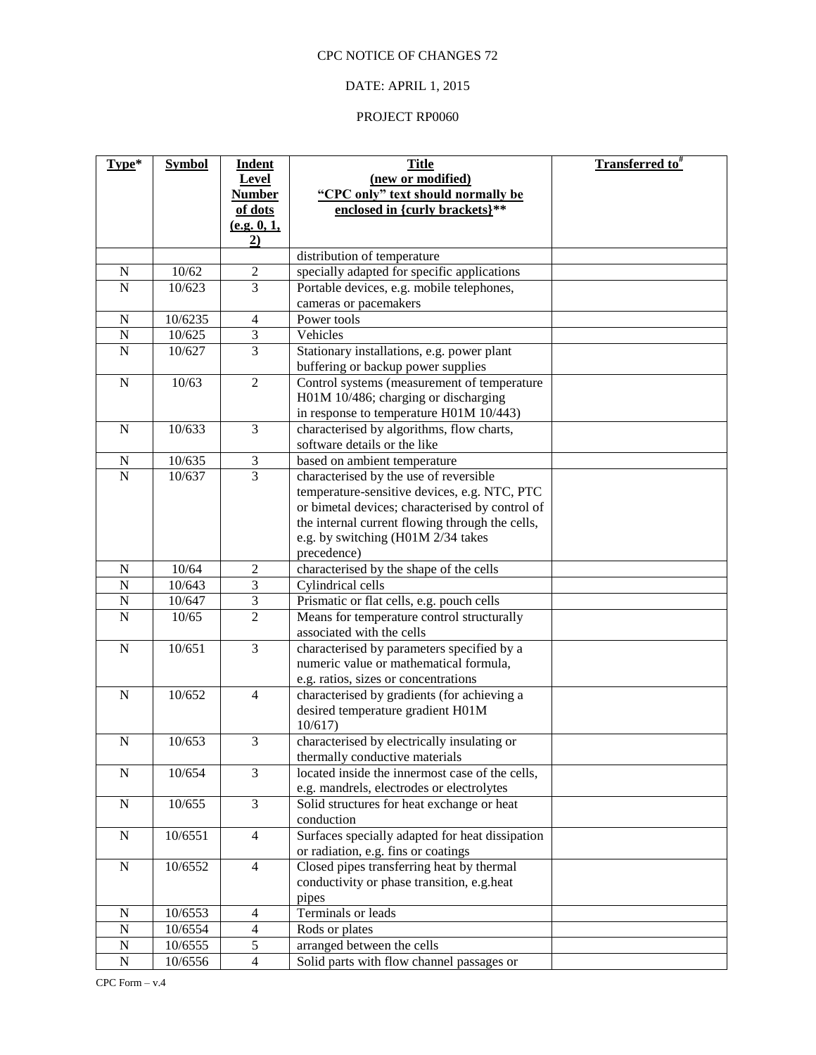# DATE: APRIL 1, 2015

| Type*                   | <b>Symbol</b> | <b>Indent</b>    | <b>Title</b>                                    | Transferred to# |
|-------------------------|---------------|------------------|-------------------------------------------------|-----------------|
|                         |               | Level            | (new or modified)                               |                 |
|                         |               | <b>Number</b>    | "CPC only" text should normally be              |                 |
|                         |               | of dots          | enclosed in {curly brackets}**                  |                 |
|                         |               | (e.g. 0, 1,      |                                                 |                 |
|                         |               | 2)               |                                                 |                 |
|                         |               |                  | distribution of temperature                     |                 |
| ${\bf N}$               | 10/62         | $\overline{2}$   | specially adapted for specific applications     |                 |
| $\overline{N}$          | 10/623        | $\overline{3}$   | Portable devices, e.g. mobile telephones,       |                 |
|                         |               |                  | cameras or pacemakers                           |                 |
| ${\bf N}$               | 10/6235       | $\overline{4}$   | Power tools                                     |                 |
| $\overline{N}$          | 10/625        | $\overline{3}$   | Vehicles                                        |                 |
| $\mathbf N$             | 10/627        | $\overline{3}$   | Stationary installations, e.g. power plant      |                 |
|                         |               |                  | buffering or backup power supplies              |                 |
| $\mathbf N$             | 10/63         | $\overline{2}$   | Control systems (measurement of temperature     |                 |
|                         |               |                  | H01M 10/486; charging or discharging            |                 |
|                         |               |                  | in response to temperature H01M 10/443)         |                 |
| ${\bf N}$               | 10/633        | 3                | characterised by algorithms, flow charts,       |                 |
|                         |               |                  | software details or the like                    |                 |
| $\mathbf N$             | 10/635        | $\mathfrak{Z}$   | based on ambient temperature                    |                 |
| $\overline{\mathbf{N}}$ | 10/637        | $\overline{3}$   | characterised by the use of reversible          |                 |
|                         |               |                  | temperature-sensitive devices, e.g. NTC, PTC    |                 |
|                         |               |                  | or bimetal devices; characterised by control of |                 |
|                         |               |                  | the internal current flowing through the cells, |                 |
|                         |               |                  | e.g. by switching (H01M 2/34 takes              |                 |
|                         |               |                  | precedence)                                     |                 |
| ${\bf N}$               | 10/64         | $\boldsymbol{2}$ | characterised by the shape of the cells         |                 |
| $\overline{N}$          | 10/643        | $\overline{3}$   | Cylindrical cells                               |                 |
| ${\bf N}$               | 10/647        | $\mathfrak{Z}$   | Prismatic or flat cells, e.g. pouch cells       |                 |
| $\overline{N}$          | 10/65         | $\overline{2}$   | Means for temperature control structurally      |                 |
|                         |               |                  | associated with the cells                       |                 |
| $\mathbf N$             | 10/651        | 3                | characterised by parameters specified by a      |                 |
|                         |               |                  | numeric value or mathematical formula,          |                 |
| ${\bf N}$               | 10/652        | $\overline{4}$   | e.g. ratios, sizes or concentrations            |                 |
|                         |               |                  | characterised by gradients (for achieving a     |                 |
|                         |               |                  | desired temperature gradient H01M<br>10/617     |                 |
| ${\bf N}$               | 10/653        | $\overline{3}$   | characterised by electrically insulating or     |                 |
|                         |               |                  | thermally conductive materials                  |                 |
| $\mathbf N$             | 10/654        | $\overline{3}$   | located inside the innermost case of the cells, |                 |
|                         |               |                  | e.g. mandrels, electrodes or electrolytes       |                 |
| $\mathbf N$             | 10/655        | 3                | Solid structures for heat exchange or heat      |                 |
|                         |               |                  | conduction                                      |                 |
| ${\bf N}$               | 10/6551       | $\overline{4}$   | Surfaces specially adapted for heat dissipation |                 |
|                         |               |                  | or radiation, e.g. fins or coatings             |                 |
| ${\bf N}$               | 10/6552       | $\overline{4}$   | Closed pipes transferring heat by thermal       |                 |
|                         |               |                  | conductivity or phase transition, e.g.heat      |                 |
|                         |               |                  | pipes                                           |                 |
| ${\bf N}$               | 10/6553       | $\overline{4}$   | Terminals or leads                              |                 |
| $\overline{N}$          | 10/6554       | $\overline{4}$   | Rods or plates                                  |                 |
| ${\bf N}$               | 10/6555       | $\mathfrak s$    | arranged between the cells                      |                 |
| $\overline{N}$          | 10/6556       | $\overline{4}$   | Solid parts with flow channel passages or       |                 |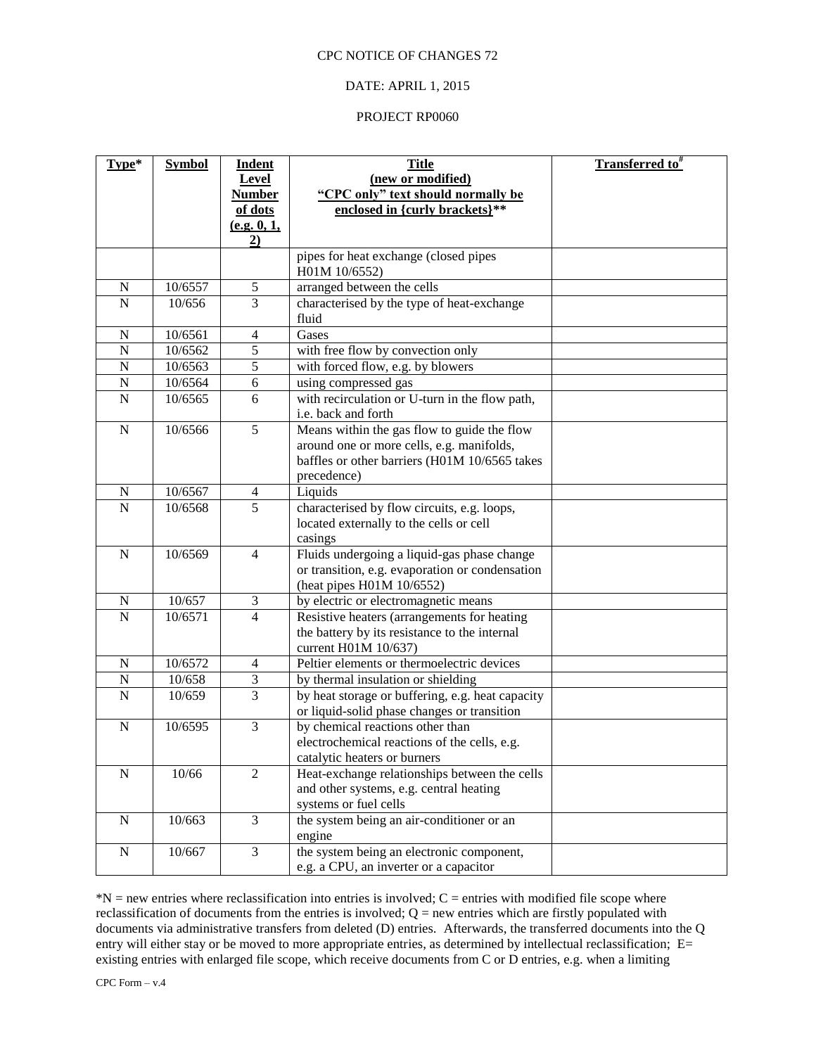#### DATE: APRIL 1, 2015

#### PROJECT RP0060

| Type*          | <b>Symbol</b> | <b>Indent</b>     | <b>Title</b>                                     | <b>Transferred to</b> # |
|----------------|---------------|-------------------|--------------------------------------------------|-------------------------|
|                |               | Level             | (new or modified)                                |                         |
|                |               | <b>Number</b>     | "CPC only" text should normally be               |                         |
|                |               | of dots           | enclosed in {curly brackets}**                   |                         |
|                |               | (e.g. 0, 1,<br>2) |                                                  |                         |
|                |               |                   | pipes for heat exchange (closed pipes            |                         |
|                |               |                   | H01M 10/6552)                                    |                         |
| ${\bf N}$      | 10/6557       | $\sqrt{5}$        | arranged between the cells                       |                         |
| $\overline{N}$ | 10/656        | $\overline{3}$    | characterised by the type of heat-exchange       |                         |
|                |               |                   | fluid                                            |                         |
| $\mathbf N$    | 10/6561       | $\overline{4}$    | Gases                                            |                         |
| $\mathbf N$    | 10/6562       | $\overline{5}$    | with free flow by convection only                |                         |
| $\mathbf N$    | 10/6563       | 5                 | with forced flow, e.g. by blowers                |                         |
| $\mathbf N$    | 10/6564       | 6                 | using compressed gas                             |                         |
| $\mathbf N$    | 10/6565       | 6                 | with recirculation or U-turn in the flow path,   |                         |
|                |               |                   | i.e. back and forth                              |                         |
| ${\bf N}$      | 10/6566       | $\overline{5}$    | Means within the gas flow to guide the flow      |                         |
|                |               |                   | around one or more cells, e.g. manifolds,        |                         |
|                |               |                   | baffles or other barriers (H01M 10/6565 takes    |                         |
|                |               |                   | precedence)                                      |                         |
| N              | 10/6567       | $\overline{4}$    | Liquids                                          |                         |
| $\mathbf N$    | 10/6568       | $\overline{5}$    | characterised by flow circuits, e.g. loops,      |                         |
|                |               |                   | located externally to the cells or cell          |                         |
|                |               |                   | casings                                          |                         |
| N              | 10/6569       | $\overline{4}$    | Fluids undergoing a liquid-gas phase change      |                         |
|                |               |                   | or transition, e.g. evaporation or condensation  |                         |
|                |               |                   | (heat pipes H01M 10/6552)                        |                         |
| ${\bf N}$      | 10/657        | $\mathfrak{Z}$    | by electric or electromagnetic means             |                         |
| $\overline{N}$ | 10/6571       | $\overline{4}$    | Resistive heaters (arrangements for heating      |                         |
|                |               |                   | the battery by its resistance to the internal    |                         |
|                |               |                   | current H01M 10/637)                             |                         |
| $\mathbf N$    | 10/6572       | $\overline{4}$    | Peltier elements or thermoelectric devices       |                         |
| $\mathbf N$    | 10/658        | $\overline{3}$    | by thermal insulation or shielding               |                         |
| $\mathbf N$    | 10/659        | $\overline{3}$    | by heat storage or buffering, e.g. heat capacity |                         |
|                |               |                   | or liquid-solid phase changes or transition      |                         |
| $\mathbf N$    | 10/6595       | 3                 | by chemical reactions other than                 |                         |
|                |               |                   | electrochemical reactions of the cells, e.g.     |                         |
|                |               |                   | catalytic heaters or burners                     |                         |
| ${\bf N}$      | 10/66         | $\overline{2}$    | Heat-exchange relationships between the cells    |                         |
|                |               |                   | and other systems, e.g. central heating          |                         |
|                |               |                   | systems or fuel cells                            |                         |
| ${\bf N}$      | 10/663        | $\overline{3}$    | the system being an air-conditioner or an        |                         |
|                |               |                   | engine                                           |                         |
| ${\bf N}$      | 10/667        | $\overline{3}$    | the system being an electronic component,        |                         |
|                |               |                   | e.g. a CPU, an inverter or a capacitor           |                         |

 $*N$  = new entries where reclassification into entries is involved; C = entries with modified file scope where reclassification of documents from the entries is involved;  $Q =$  new entries which are firstly populated with documents via administrative transfers from deleted (D) entries. Afterwards, the transferred documents into the Q entry will either stay or be moved to more appropriate entries, as determined by intellectual reclassification; E= existing entries with enlarged file scope, which receive documents from C or D entries, e.g. when a limiting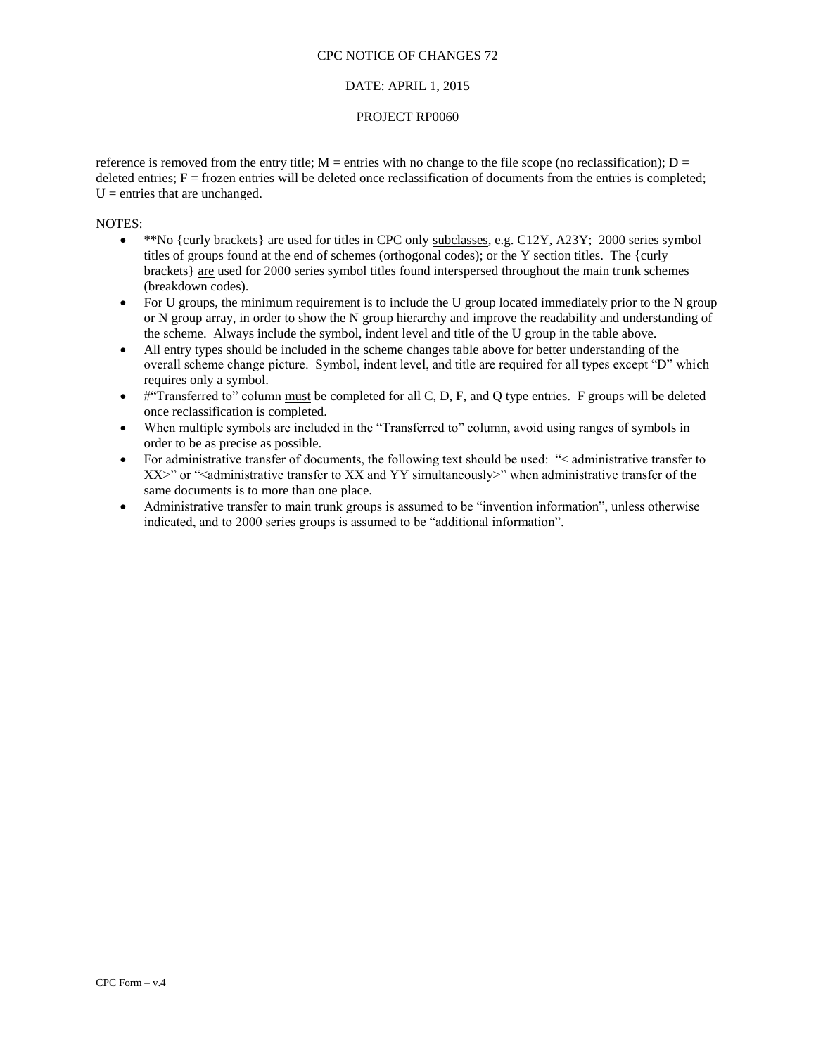#### DATE: APRIL 1, 2015

#### PROJECT RP0060

reference is removed from the entry title;  $M =$  entries with no change to the file scope (no reclassification);  $D =$ deleted entries;  $F =$  frozen entries will be deleted once reclassification of documents from the entries is completed;  $U =$  entries that are unchanged.

- \*\*No {curly brackets} are used for titles in CPC only subclasses, e.g. C12Y, A23Y; 2000 series symbol titles of groups found at the end of schemes (orthogonal codes); or the Y section titles. The {curly brackets} are used for 2000 series symbol titles found interspersed throughout the main trunk schemes (breakdown codes).
- For U groups, the minimum requirement is to include the U group located immediately prior to the N group or N group array, in order to show the N group hierarchy and improve the readability and understanding of the scheme. Always include the symbol, indent level and title of the U group in the table above.
- All entry types should be included in the scheme changes table above for better understanding of the overall scheme change picture. Symbol, indent level, and title are required for all types except "D" which requires only a symbol.
- $\bullet$  #"Transferred to" column must be completed for all C, D, F, and Q type entries. F groups will be deleted once reclassification is completed.
- When multiple symbols are included in the "Transferred to" column, avoid using ranges of symbols in order to be as precise as possible.
- For administrative transfer of documents, the following text should be used: "< administrative transfer to XX>" or "<administrative transfer to XX and YY simultaneously>" when administrative transfer of the same documents is to more than one place.
- Administrative transfer to main trunk groups is assumed to be "invention information", unless otherwise indicated, and to 2000 series groups is assumed to be "additional information".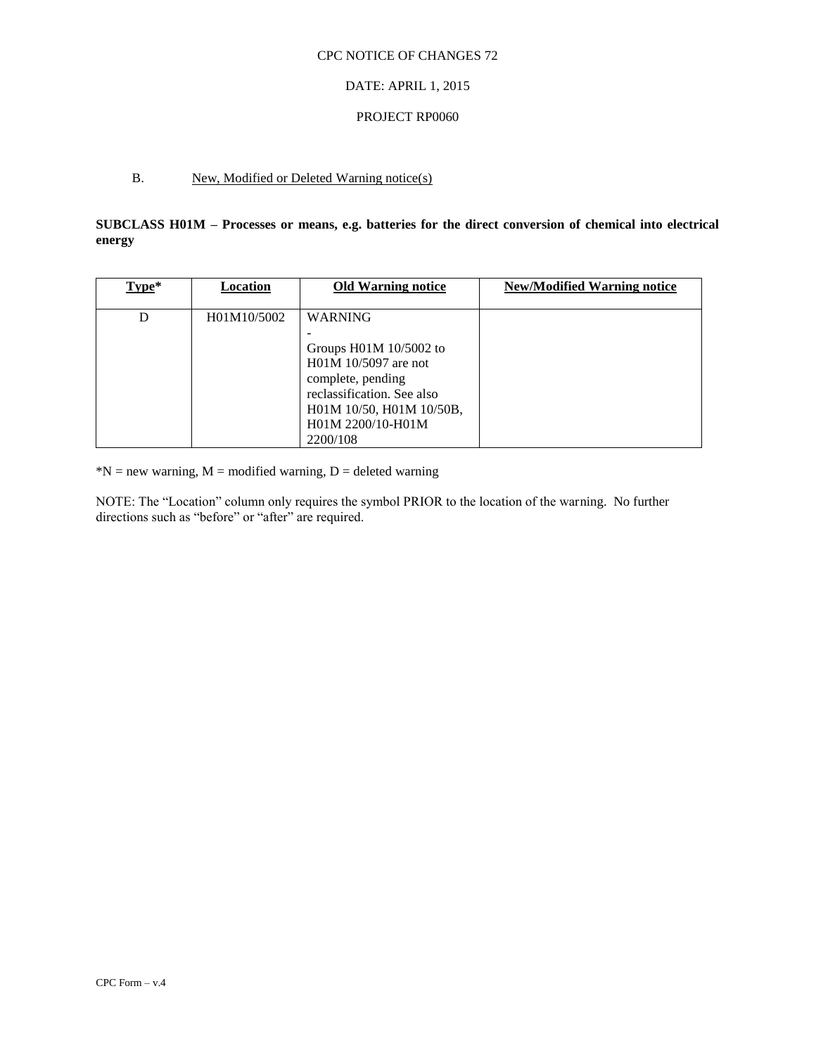#### DATE: APRIL 1, 2015

#### PROJECT RP0060

## B. New, Modified or Deleted Warning notice(s)

**SUBCLASS H01M – Processes or means, e.g. batteries for the direct conversion of chemical into electrical energy**

| $Type*$ | Location    | <b>Old Warning notice</b>  | <b>New/Modified Warning notice</b> |
|---------|-------------|----------------------------|------------------------------------|
|         |             |                            |                                    |
| D       | H01M10/5002 | <b>WARNING</b>             |                                    |
|         |             |                            |                                    |
|         |             | Groups H01M 10/5002 to     |                                    |
|         |             | H01M 10/5097 are not       |                                    |
|         |             | complete, pending          |                                    |
|         |             | reclassification. See also |                                    |
|         |             | H01M 10/50, H01M 10/50B,   |                                    |
|         |             | H01M 2200/10-H01M          |                                    |
|         |             | 2200/108                   |                                    |

 $N = new warning, M = modified warning, D = deleted warning$ 

NOTE: The "Location" column only requires the symbol PRIOR to the location of the warning. No further directions such as "before" or "after" are required.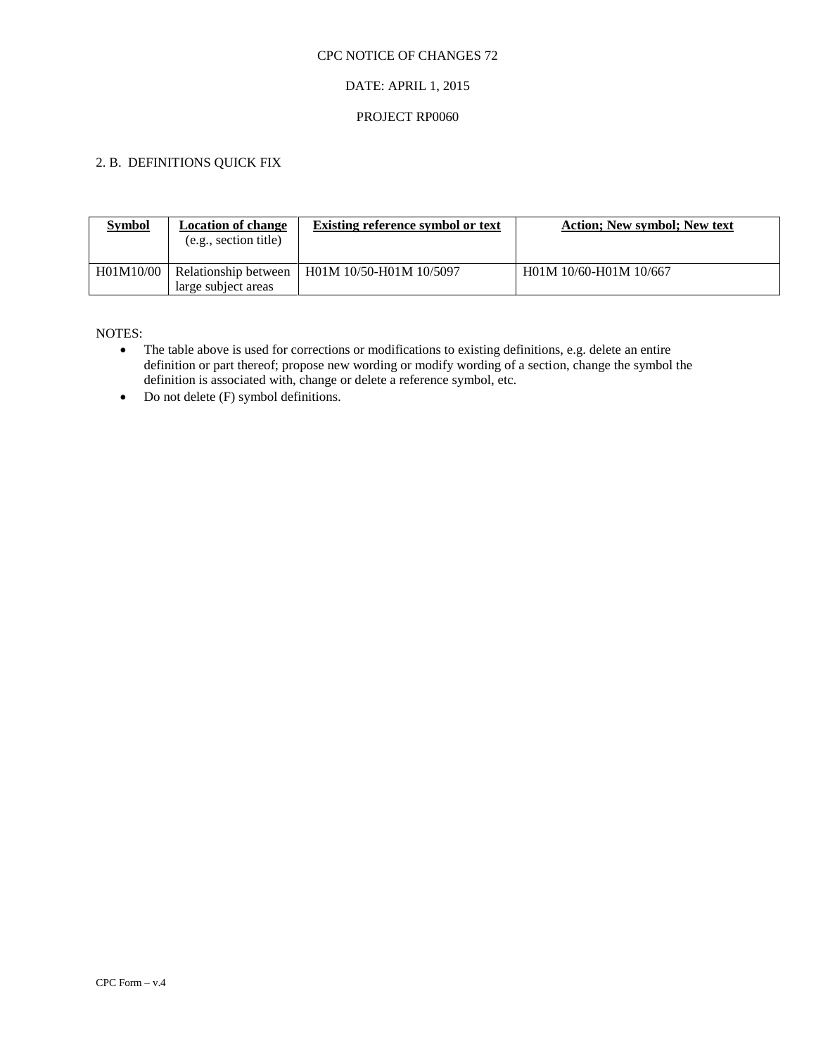## DATE: APRIL 1, 2015

#### PROJECT RP0060

## 2. B. DEFINITIONS QUICK FIX

| <b>Symbol</b> | <b>Location of change</b><br>(e.g., section title) | <b>Existing reference symbol or text</b> | <b>Action: New symbol: New text</b> |
|---------------|----------------------------------------------------|------------------------------------------|-------------------------------------|
| H01M10/00     | Relationship between<br>large subject areas        | H01M 10/50-H01M 10/5097                  | H01M 10/60-H01M 10/667              |

- The table above is used for corrections or modifications to existing definitions, e.g. delete an entire definition or part thereof; propose new wording or modify wording of a section, change the symbol the definition is associated with, change or delete a reference symbol, etc.
- $\bullet$  Do not delete (F) symbol definitions.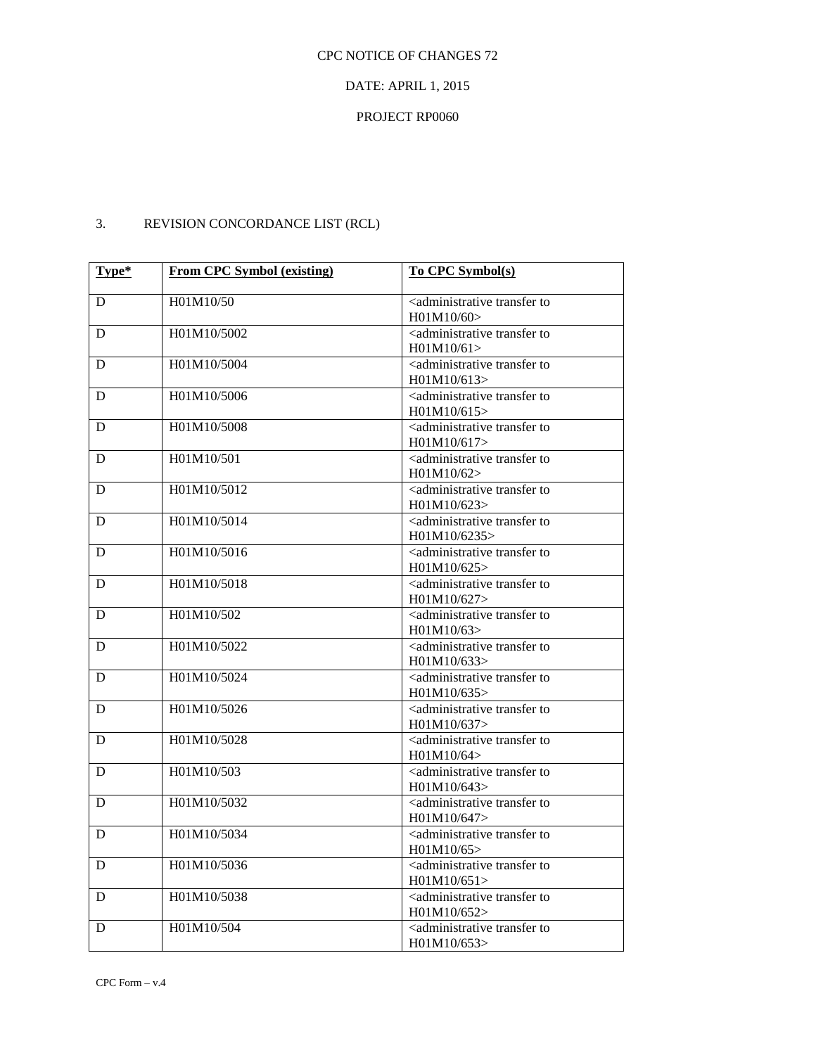# DATE: APRIL 1, 2015

# PROJECT RP0060

# 3. REVISION CONCORDANCE LIST (RCL)

| Type* | <b>From CPC Symbol (existing)</b> | To CPC Symbol(s)                                                      |
|-------|-----------------------------------|-----------------------------------------------------------------------|
| D     | H01M10/50                         | <administrative td="" to<="" transfer=""></administrative>            |
|       |                                   | H01M10/60                                                             |
| D     | H01M10/5002                       | <administrative td="" to<="" transfer=""></administrative>            |
|       |                                   | H01M10/61                                                             |
| D     | H01M10/5004                       | <administrative td="" to<="" transfer=""></administrative>            |
|       |                                   | H01M10/613                                                            |
| D     | H01M10/5006                       | <administrative td="" to<="" transfer=""></administrative>            |
|       |                                   | H01M10/615                                                            |
| D     | H01M10/5008                       | <administrative td="" to<="" transfer=""></administrative>            |
|       |                                   | H01M10/617                                                            |
| D     | H01M10/501                        | <administrative td="" to<="" transfer=""></administrative>            |
|       |                                   | H01M10/62                                                             |
| D     | H01M10/5012                       | <administrative td="" to<="" transfer=""></administrative>            |
|       | H01M10/5014                       | H01M10/623                                                            |
| D     |                                   | <administrative to<br="" transfer="">H01M10/6235&gt;</administrative> |
| D     | H01M10/5016                       | <administrative td="" to<="" transfer=""></administrative>            |
|       |                                   | H01M10/625>                                                           |
| D     | H01M10/5018                       | <administrative td="" to<="" transfer=""></administrative>            |
|       |                                   | H01M10/627                                                            |
| D     | H01M10/502                        | <administrative td="" to<="" transfer=""></administrative>            |
|       |                                   | H01M10/63>                                                            |
| D     | H01M10/5022                       | <administrative td="" to<="" transfer=""></administrative>            |
|       |                                   | H01M10/633>                                                           |
| D     | H01M10/5024                       | <administrative td="" to<="" transfer=""></administrative>            |
|       |                                   | H01M10/635>                                                           |
| D     | H01M10/5026                       | <administrative td="" to<="" transfer=""></administrative>            |
|       |                                   | H01M10/637                                                            |
| D     | H01M10/5028                       | <administrative td="" to<="" transfer=""></administrative>            |
|       |                                   | H01M10/64                                                             |
| D     | H01M10/503                        | <administrative to<br="" transfer="">H01M10/643&gt;</administrative>  |
| D     | H01M10/5032                       | <administrative td="" to<="" transfer=""></administrative>            |
|       |                                   | H01M10/647                                                            |
| D     | H01M10/5034                       | <administrative td="" to<="" transfer=""></administrative>            |
|       |                                   | H01M10/65>                                                            |
| D     | H01M10/5036                       | <administrative td="" to<="" transfer=""></administrative>            |
|       |                                   | H01M10/651                                                            |
| D     | H01M10/5038                       | <administrative td="" to<="" transfer=""></administrative>            |
|       |                                   | H01M10/652                                                            |
| D     | H01M10/504                        | <administrative td="" to<="" transfer=""></administrative>            |
|       |                                   | H01M10/653                                                            |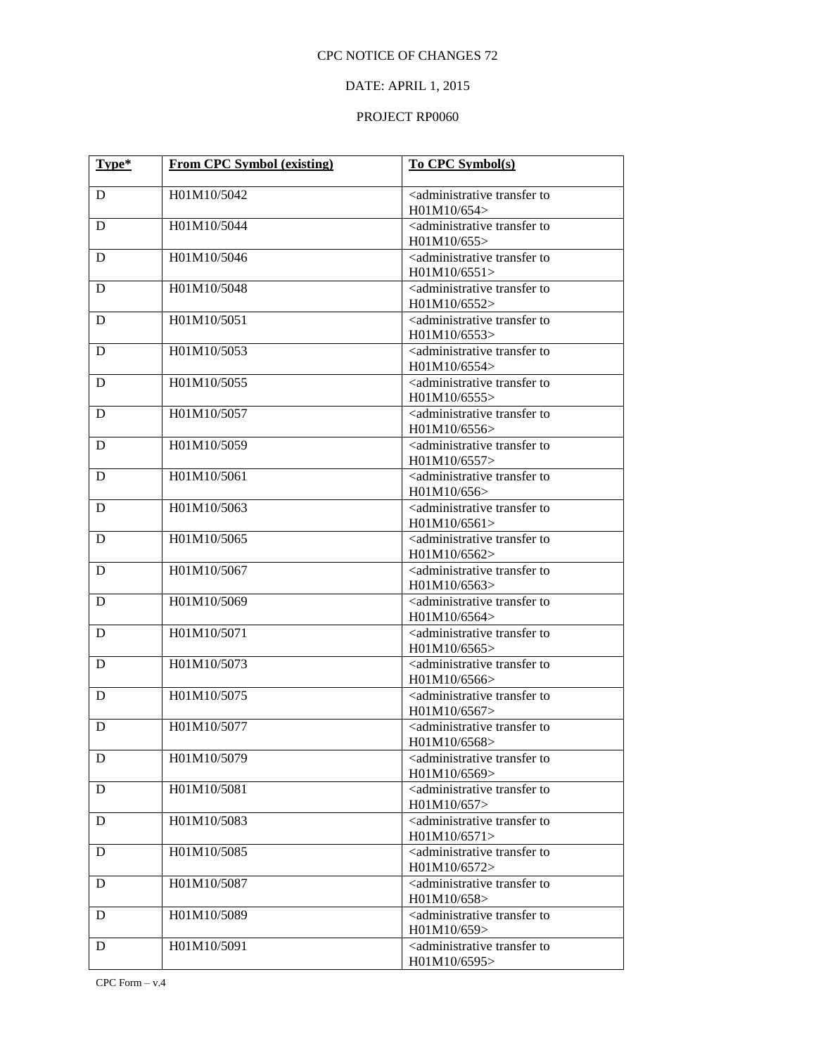# DATE: APRIL 1, 2015

| Type* | <b>From CPC Symbol (existing)</b> | <b>To CPC Symbol(s)</b>                                               |
|-------|-----------------------------------|-----------------------------------------------------------------------|
|       |                                   |                                                                       |
| D     | H01M10/5042                       | <administrative to<br="" transfer="">H01M10/654&gt;</administrative>  |
| D     | H01M10/5044                       | <administrative to<br="" transfer="">H01M10/655&gt;</administrative>  |
| D     | H01M10/5046                       | <administrative to<br="" transfer="">H01M10/6551&gt;</administrative> |
| D     | H01M10/5048                       | <administrative to<br="" transfer="">H01M10/6552&gt;</administrative> |
| D     | H01M10/5051                       | <administrative to<br="" transfer="">H01M10/6553&gt;</administrative> |
| D     | H01M10/5053                       | <administrative to<br="" transfer="">H01M10/6554&gt;</administrative> |
| D     | H01M10/5055                       | <administrative to<br="" transfer="">H01M10/6555&gt;</administrative> |
| D     | H01M10/5057                       | <administrative to<br="" transfer="">H01M10/6556&gt;</administrative> |
| D     | H01M10/5059                       | <administrative to<br="" transfer="">H01M10/6557&gt;</administrative> |
| D     | H01M10/5061                       | <administrative to<br="" transfer="">H01M10/656&gt;</administrative>  |
| D     | H01M10/5063                       | <administrative to<br="" transfer="">H01M10/6561&gt;</administrative> |
| D     | H01M10/5065                       | <administrative to<br="" transfer="">H01M10/6562&gt;</administrative> |
| D     | H01M10/5067                       | <administrative to<br="" transfer="">H01M10/6563&gt;</administrative> |
| D     | H01M10/5069                       | <administrative to<br="" transfer="">H01M10/6564&gt;</administrative> |
| D     | H01M10/5071                       | <administrative to<br="" transfer="">H01M10/6565&gt;</administrative> |
| D     | H01M10/5073                       | <administrative to<br="" transfer="">H01M10/6566&gt;</administrative> |
| D     | H01M10/5075                       | <administrative to<br="" transfer="">H01M10/6567&gt;</administrative> |
| D     | H01M10/5077                       | <administrative to<br="" transfer="">H01M10/6568&gt;</administrative> |
| D     | H01M10/5079                       | <administrative to<br="" transfer="">H01M10/6569&gt;</administrative> |
| D     | H01M10/5081                       | <administrative to<br="" transfer="">H01M10/657</administrative>      |
| D     | H01M10/5083                       | <administrative to<br="" transfer="">H01M10/6571&gt;</administrative> |
| D     | H01M10/5085                       | <administrative to<br="" transfer="">H01M10/6572&gt;</administrative> |
| D     | H01M10/5087                       | <administrative to<br="" transfer="">H01M10/658&gt;</administrative>  |
| D     | H01M10/5089                       | <administrative to<br="" transfer="">H01M10/659</administrative>      |
| D     | H01M10/5091                       | <administrative to<br="" transfer="">H01M10/6595&gt;</administrative> |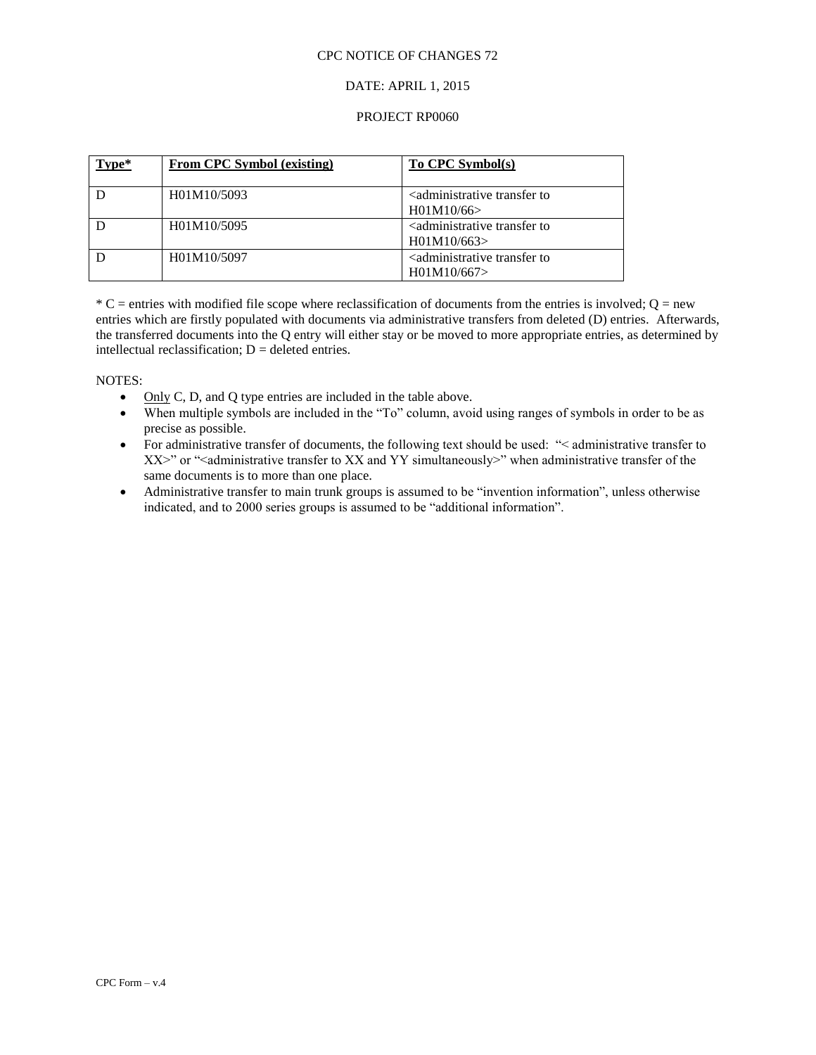#### DATE: APRIL 1, 2015

#### PROJECT RP0060

| Type* | <b>From CPC Symbol (existing)</b> | To CPC Symbol(s)                                                 |
|-------|-----------------------------------|------------------------------------------------------------------|
|       | H01M10/5093                       | <administrative to<br="" transfer="">H01M10/66</administrative>  |
|       | H01M10/5095                       | <administrative to<br="" transfer="">H01M10/663</administrative> |
|       | H01M10/5097                       | <administrative to<br="" transfer="">H01M10/667</administrative> |

 $*$  C = entries with modified file scope where reclassification of documents from the entries is involved; Q = new entries which are firstly populated with documents via administrative transfers from deleted (D) entries. Afterwards, the transferred documents into the Q entry will either stay or be moved to more appropriate entries, as determined by intellectual reclassification;  $D =$  deleted entries.

- $\bullet$  Only C, D, and Q type entries are included in the table above.
- When multiple symbols are included in the "To" column, avoid using ranges of symbols in order to be as precise as possible.
- For administrative transfer of documents, the following text should be used: "< administrative transfer to  $XX>$ " or "<administrative transfer to XX and YY simultaneously>" when administrative transfer of the same documents is to more than one place.
- Administrative transfer to main trunk groups is assumed to be "invention information", unless otherwise indicated, and to 2000 series groups is assumed to be "additional information".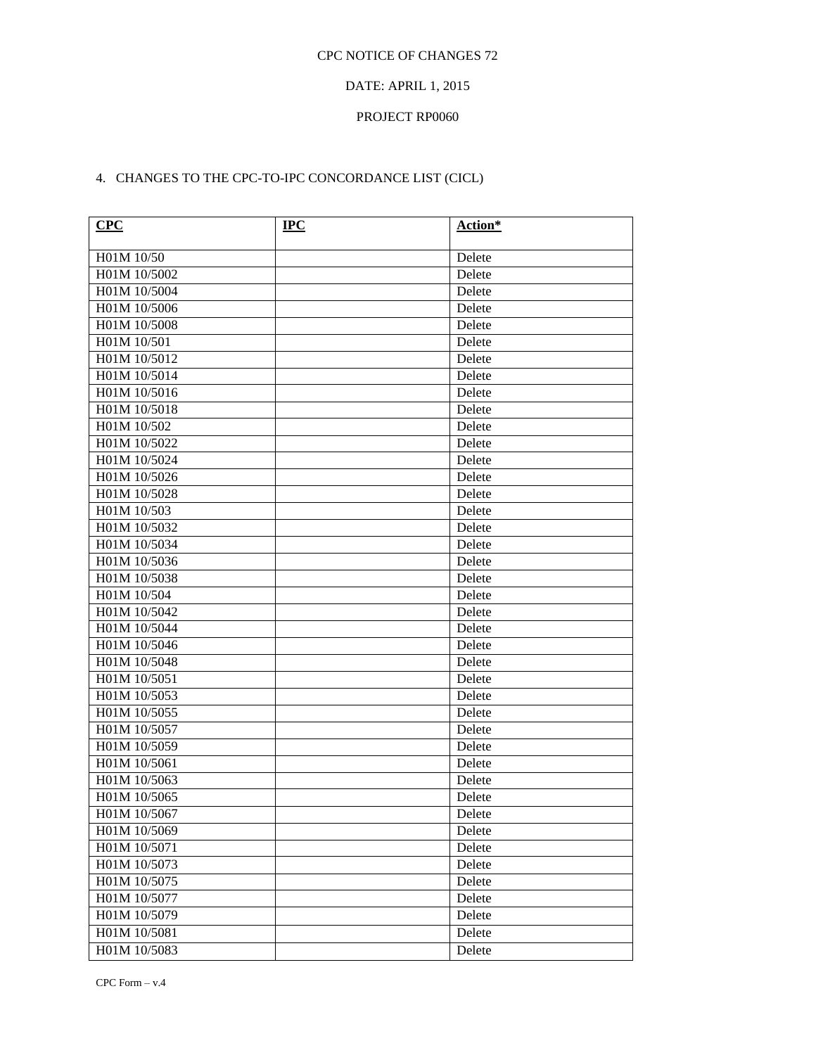# DATE: APRIL 1, 2015

## PROJECT RP0060

# 4. CHANGES TO THE CPC-TO-IPC CONCORDANCE LIST (CICL)

| <b>CPC</b>   | $IPC$ | Action* |
|--------------|-------|---------|
| H01M 10/50   |       | Delete  |
| H01M 10/5002 |       | Delete  |
| H01M 10/5004 |       | Delete  |
| H01M 10/5006 |       | Delete  |
| H01M 10/5008 |       | Delete  |
| H01M 10/501  |       | Delete  |
| H01M 10/5012 |       | Delete  |
| H01M 10/5014 |       | Delete  |
| H01M 10/5016 |       | Delete  |
| H01M 10/5018 |       | Delete  |
| H01M 10/502  |       | Delete  |
| H01M 10/5022 |       | Delete  |
| H01M 10/5024 |       | Delete  |
| H01M 10/5026 |       | Delete  |
| H01M 10/5028 |       | Delete  |
| H01M 10/503  |       | Delete  |
| H01M 10/5032 |       | Delete  |
| H01M 10/5034 |       | Delete  |
| H01M 10/5036 |       | Delete  |
| H01M 10/5038 |       | Delete  |
| H01M 10/504  |       | Delete  |
| H01M 10/5042 |       | Delete  |
| H01M 10/5044 |       | Delete  |
| H01M 10/5046 |       | Delete  |
| H01M 10/5048 |       | Delete  |
| H01M 10/5051 |       | Delete  |
| H01M 10/5053 |       | Delete  |
| H01M 10/5055 |       | Delete  |
| H01M 10/5057 |       | Delete  |
| H01M 10/5059 |       | Delete  |
| H01M 10/5061 |       | Delete  |
| H01M 10/5063 |       | Delete  |
| H01M 10/5065 |       | Delete  |
| H01M 10/5067 |       | Delete  |
| H01M 10/5069 |       | Delete  |
| H01M 10/5071 |       | Delete  |
| H01M 10/5073 |       | Delete  |
| H01M 10/5075 |       | Delete  |
| H01M 10/5077 |       | Delete  |
| H01M 10/5079 |       | Delete  |
| H01M 10/5081 |       | Delete  |
| H01M 10/5083 |       | Delete  |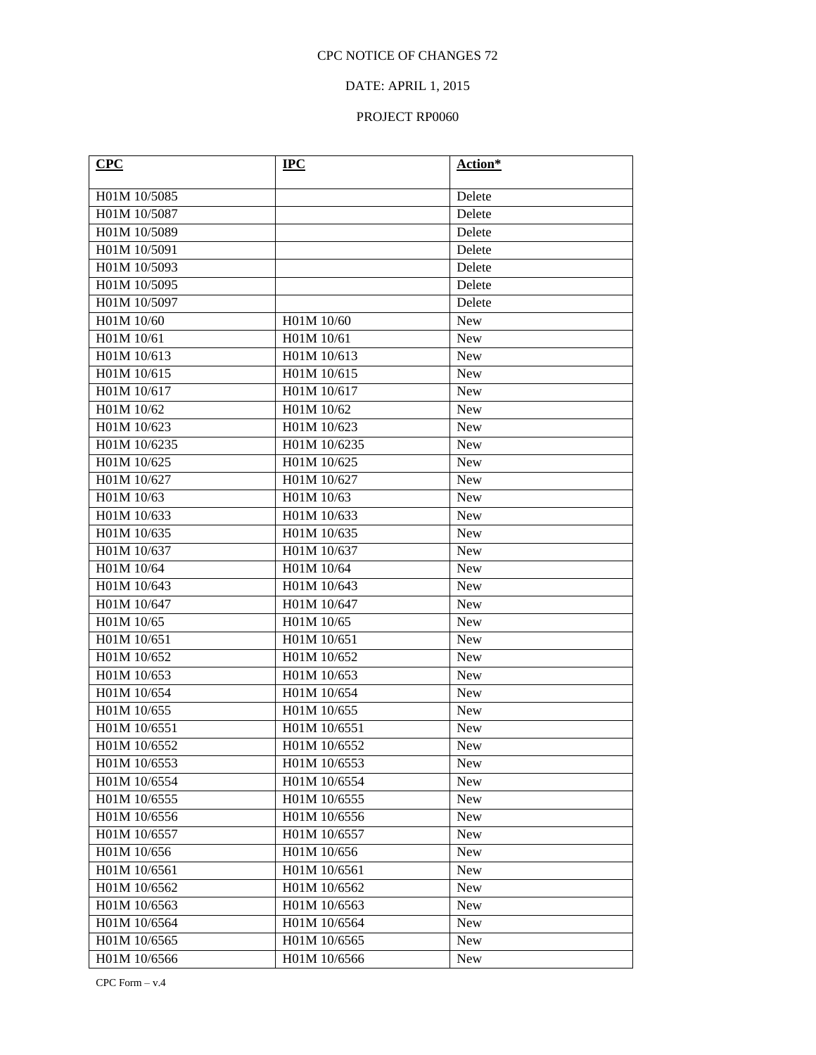# DATE: APRIL 1, 2015

| CPC          | $\bf{IPC}$   | Action*    |
|--------------|--------------|------------|
| H01M 10/5085 |              | Delete     |
| H01M 10/5087 |              | Delete     |
| H01M 10/5089 |              | Delete     |
| H01M 10/5091 |              | Delete     |
| H01M 10/5093 |              | Delete     |
| H01M 10/5095 |              | Delete     |
| H01M 10/5097 |              | Delete     |
| H01M 10/60   | H01M 10/60   | New        |
| H01M 10/61   | H01M 10/61   | <b>New</b> |
| H01M 10/613  | H01M 10/613  | <b>New</b> |
| H01M 10/615  | H01M 10/615  | <b>New</b> |
| H01M 10/617  | H01M 10/617  | <b>New</b> |
| H01M 10/62   | H01M 10/62   | <b>New</b> |
| H01M 10/623  | H01M 10/623  | <b>New</b> |
| H01M 10/6235 | H01M 10/6235 | <b>New</b> |
| H01M 10/625  | H01M 10/625  | <b>New</b> |
| H01M 10/627  | H01M 10/627  | <b>New</b> |
| H01M 10/63   | H01M 10/63   | <b>New</b> |
| H01M 10/633  | H01M 10/633  | <b>New</b> |
| H01M 10/635  | H01M 10/635  | <b>New</b> |
| H01M 10/637  | H01M 10/637  | <b>New</b> |
| H01M 10/64   | H01M 10/64   | <b>New</b> |
| H01M 10/643  | H01M 10/643  | <b>New</b> |
| H01M 10/647  | H01M 10/647  | <b>New</b> |
| H01M 10/65   | H01M 10/65   | <b>New</b> |
| H01M 10/651  | H01M 10/651  | <b>New</b> |
| H01M 10/652  | H01M 10/652  | <b>New</b> |
| H01M 10/653  | H01M 10/653  | <b>New</b> |
| H01M 10/654  | H01M 10/654  | <b>New</b> |
| H01M 10/655  | H01M 10/655  | <b>New</b> |
| H01M 10/6551 | H01M 10/6551 | <b>New</b> |
| H01M 10/6552 | H01M 10/6552 | <b>New</b> |
| H01M 10/6553 | H01M 10/6553 | <b>New</b> |
| H01M 10/6554 | H01M 10/6554 | <b>New</b> |
| H01M 10/6555 | H01M 10/6555 | <b>New</b> |
| H01M 10/6556 | H01M 10/6556 | <b>New</b> |
| H01M 10/6557 | H01M 10/6557 | <b>New</b> |
| H01M 10/656  | H01M 10/656  | <b>New</b> |
| H01M 10/6561 | H01M 10/6561 | <b>New</b> |
| H01M 10/6562 | H01M 10/6562 | New        |
| H01M 10/6563 | H01M 10/6563 | <b>New</b> |
| H01M 10/6564 | H01M 10/6564 | <b>New</b> |
| H01M 10/6565 | H01M 10/6565 | <b>New</b> |
| H01M 10/6566 | H01M 10/6566 | New        |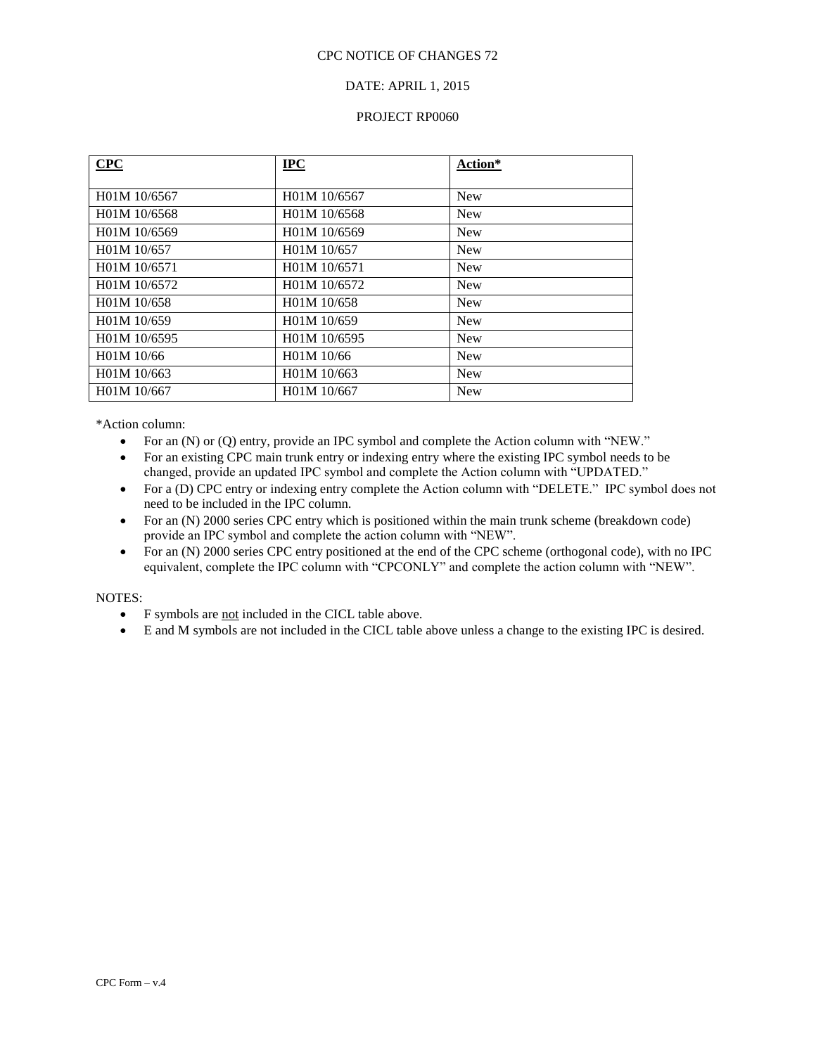## DATE: APRIL 1, 2015

#### PROJECT RP0060

| CPC          | <b>IPC</b>   | Action*    |
|--------------|--------------|------------|
|              |              |            |
| H01M 10/6567 | H01M 10/6567 | <b>New</b> |
| H01M 10/6568 | H01M 10/6568 | <b>New</b> |
| H01M 10/6569 | H01M 10/6569 | <b>New</b> |
| H01M 10/657  | H01M 10/657  | <b>New</b> |
| H01M 10/6571 | H01M 10/6571 | <b>New</b> |
| H01M 10/6572 | H01M 10/6572 | <b>New</b> |
| H01M 10/658  | H01M 10/658  | <b>New</b> |
| H01M 10/659  | H01M 10/659  | <b>New</b> |
| H01M 10/6595 | H01M 10/6595 | <b>New</b> |
| H01M 10/66   | H01M 10/66   | <b>New</b> |
| H01M 10/663  | H01M 10/663  | <b>New</b> |
| H01M 10/667  | H01M 10/667  | <b>New</b> |

\*Action column:

- For an (N) or (Q) entry, provide an IPC symbol and complete the Action column with "NEW."
- For an existing CPC main trunk entry or indexing entry where the existing IPC symbol needs to be changed, provide an updated IPC symbol and complete the Action column with "UPDATED."
- For a (D) CPC entry or indexing entry complete the Action column with "DELETE." IPC symbol does not need to be included in the IPC column.
- For an (N) 2000 series CPC entry which is positioned within the main trunk scheme (breakdown code) provide an IPC symbol and complete the action column with "NEW".
- For an (N) 2000 series CPC entry positioned at the end of the CPC scheme (orthogonal code), with no IPC equivalent, complete the IPC column with "CPCONLY" and complete the action column with "NEW".

- F symbols are not included in the CICL table above.
- E and M symbols are not included in the CICL table above unless a change to the existing IPC is desired.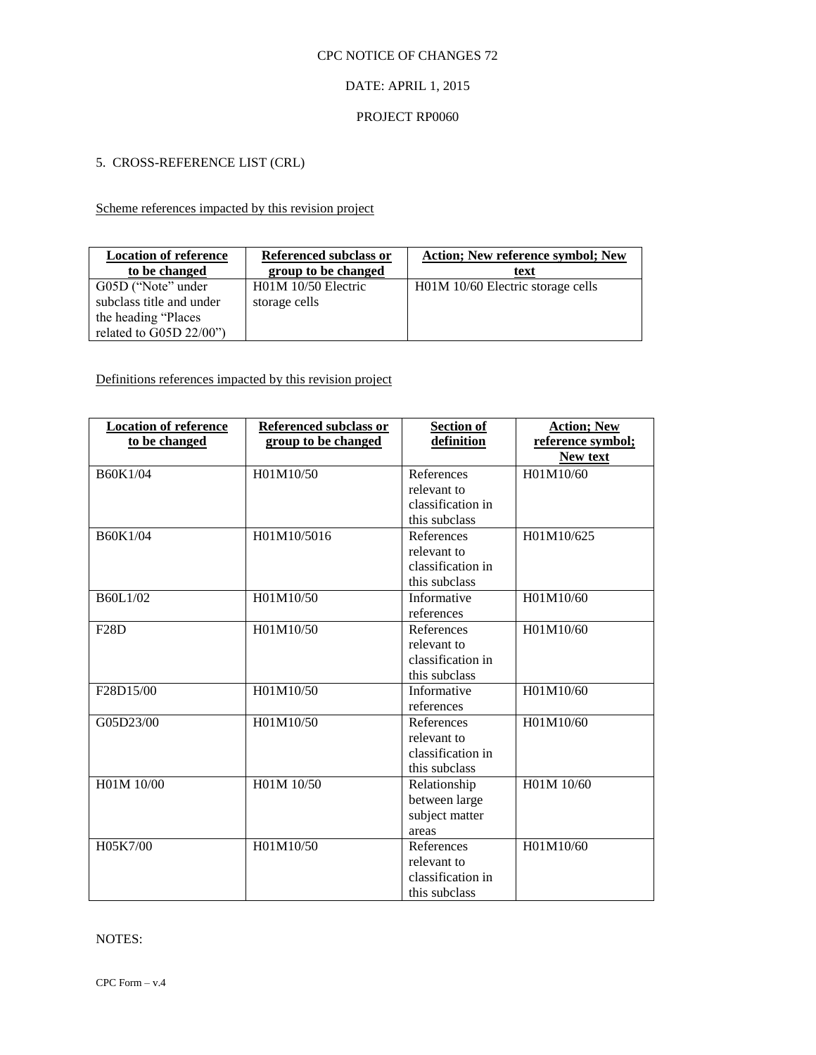# DATE: APRIL 1, 2015

#### PROJECT RP0060

# 5. CROSS-REFERENCE LIST (CRL)

# Scheme references impacted by this revision project

| <b>Location of reference</b><br>to be changed                          | Referenced subclass or<br>group to be changed | <b>Action: New reference symbol: New</b><br>text |
|------------------------------------------------------------------------|-----------------------------------------------|--------------------------------------------------|
| G05D ("Note" under<br>subclass title and under<br>the heading "Places" | $H01M$ 10/50 Electric<br>storage cells        | H01M 10/60 Electric storage cells                |
| related to G05D 22/00")                                                |                                               |                                                  |

# Definitions references impacted by this revision project

| <b>Location of reference</b><br>to be changed | <b>Referenced subclass or</b><br>group to be changed | <b>Section of</b><br>definition                                 | <b>Action; New</b><br>reference symbol;<br>New text |
|-----------------------------------------------|------------------------------------------------------|-----------------------------------------------------------------|-----------------------------------------------------|
| B60K1/04                                      | H01M10/50                                            | References<br>relevant to<br>classification in<br>this subclass | H01M10/60                                           |
| B60K1/04                                      | H01M10/5016                                          | References<br>relevant to<br>classification in<br>this subclass | H01M10/625                                          |
| B60L1/02                                      | H01M10/50                                            | Informative<br>references                                       | H01M10/60                                           |
| F28D                                          | H01M10/50                                            | References<br>relevant to<br>classification in<br>this subclass | H01M10/60                                           |
| F28D15/00                                     | H01M10/50                                            | Informative<br>references                                       | H01M10/60                                           |
| G05D23/00                                     | H01M10/50                                            | References<br>relevant to<br>classification in<br>this subclass | H01M10/60                                           |
| H01M 10/00                                    | H01M 10/50                                           | Relationship<br>between large<br>subject matter<br>areas        | H01M 10/60                                          |
| H05K7/00                                      | H01M10/50                                            | References<br>relevant to<br>classification in<br>this subclass | H01M10/60                                           |